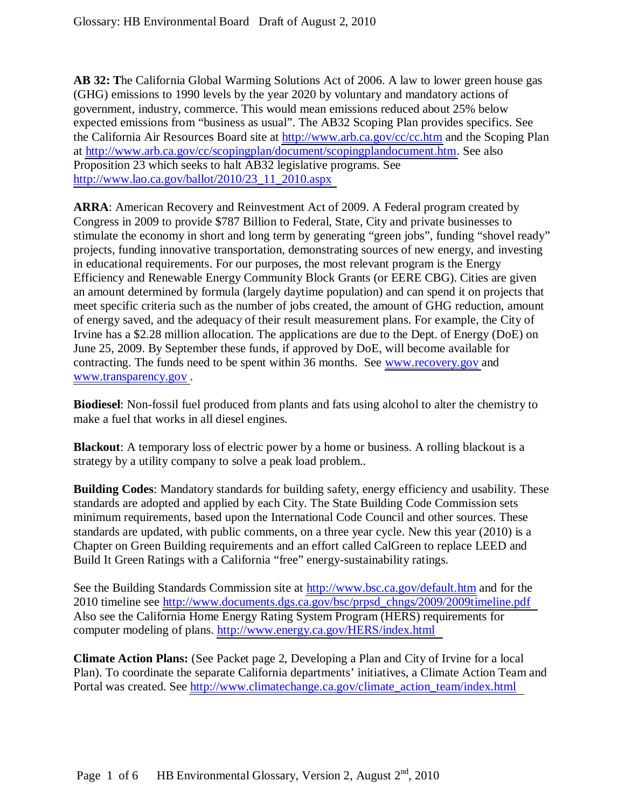**AB 32: T**he California Global Warming Solutions Act of 2006. A law to lower green house gas (GHG) emissions to 1990 levels by the year 2020 by voluntary and mandatory actions of government, industry, commerce. This would mean emissions reduced about 25% below expected emissions from "business as usual". The AB32 Scoping Plan provides specifics. See the California Air Resources Board site at<http://www.arb.ca.gov/cc/cc.htm>and the Scoping Plan at [http://www.arb.ca.gov/cc/scopingplan/document/scopingplandocument.htm.](http://www.arb.ca.gov/cc/scopingplan/document/scopingplandocument.htm) See also Proposition 23 which seeks to halt AB32 legislative programs. See [http://www.lao.ca.gov/ballot/2010/23\\_11\\_2010.aspx](http://www.lao.ca.gov/ballot/2010/23_11_2010.aspx) 

**ARRA**: American Recovery and Reinvestment Act of 2009. A Federal program created by Congress in 2009 to provide \$787 Billion to Federal, State, City and private businesses to stimulate the economy in short and long term by generating "green jobs", funding "shovel ready" projects, funding innovative transportation, demonstrating sources of new energy, and investing in educational requirements. For our purposes, the most relevant program is the Energy Efficiency and Renewable Energy Community Block Grants (or EERE CBG). Cities are given an amount determined by formula (largely daytime population) and can spend it on projects that meet specific criteria such as the number of jobs created, the amount of GHG reduction, amount of energy saved, and the adequacy of their result measurement plans. For example, the City of Irvine has a \$2.28 million allocation. The applications are due to the Dept. of Energy (DoE) on June 25, 2009. By September these funds, if approved by DoE, will become available for contracting. The funds need to be spent within 36 months. See [www.recovery.gov](http://www.recovery.gov/) and [www.transparency.gov .](http://www.transparency.gov/)

**Biodiesel**: Non-fossil fuel produced from plants and fats using alcohol to alter the chemistry to make a fuel that works in all diesel engines.

**Blackout**: A temporary loss of electric power by a home or business. A rolling blackout is a strategy by a utility company to solve a peak load problem..

**Building Codes**: Mandatory standards for building safety, energy efficiency and usability. These standards are adopted and applied by each City. The State Building Code Commission sets minimum requirements, based upon the International Code Council and other sources. These standards are updated, with public comments, on a three year cycle. New this year (2010) is a Chapter on Green Building requirements and an effort called CalGreen to replace LEED and Build It Green Ratings with a California "free" energy-sustainability ratings.

See the Building Standards Commission site at<http://www.bsc.ca.gov/default.htm>and for the 2010 timeline see [http://www.documents.dgs.ca.gov/bsc/prpsd\\_chngs/2009/2009timeline.pdf](http://www.documents.dgs.ca.gov/bsc/prpsd_chngs/2009/2009timeline.pdf) Also see the California Home Energy Rating System Program (HERS) requirements for computer modeling of plans.<http://www.energy.ca.gov/HERS/index.html>

**Climate Action Plans:** (See Packet page 2, Developing a Plan and City of Irvine for a local Plan). To coordinate the separate California departments' initiatives, a Climate Action Team and Portal was created. See [http://www.climatechange.ca.gov/climate\\_action\\_team/index.html](http://www.climatechange.ca.gov/climate_action_team/index.html)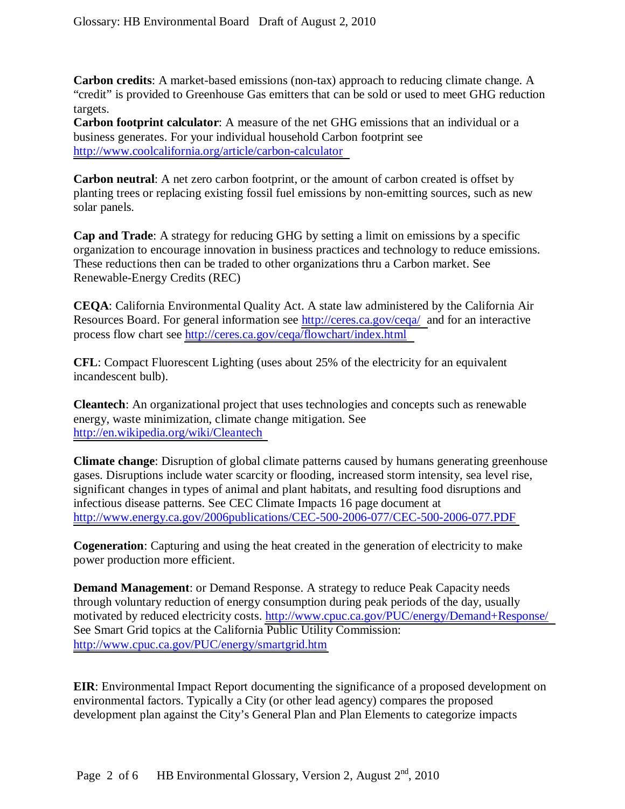**Carbon credits**: A market-based emissions (non-tax) approach to reducing climate change. A "credit" is provided to Greenhouse Gas emitters that can be sold or used to meet GHG reduction targets.

**Carbon footprint calculator**: A measure of the net GHG emissions that an individual or a business generates. For your individual household Carbon footprint see <http://www.coolcalifornia.org/article/carbon-calculator>

**Carbon neutral**: A net zero carbon footprint, or the amount of carbon created is offset by planting trees or replacing existing fossil fuel emissions by non-emitting sources, such as new solar panels.

**Cap and Trade**: A strategy for reducing GHG by setting a limit on emissions by a specific organization to encourage innovation in business practices and technology to reduce emissions. These reductions then can be traded to other organizations thru a Carbon market. See Renewable-Energy Credits (REC)

**CEQA**: California Environmental Quality Act. A state law administered by the California Air Resources Board. For general information see [http://ceres.ca.gov/ceqa/ a](http://ceres.ca.gov/ceqa/)nd for an interactive process flow chart see<http://ceres.ca.gov/ceqa/flowchart/index.html>

**CFL**: Compact Fluorescent Lighting (uses about 25% of the electricity for an equivalent incandescent bulb).

**Cleantech**: An organizational project that uses technologies and concepts such as renewable energy, waste minimization, climate change mitigation. See <http://en.wikipedia.org/wiki/Cleantech>

**Climate change**: Disruption of global climate patterns caused by humans generating greenhouse gases. Disruptions include water scarcity or flooding, increased storm intensity, sea level rise, significant changes in types of animal and plant habitats, and resulting food disruptions and infectious disease patterns. See CEC Climate Impacts 16 page document at <http://www.energy.ca.gov/2006publications/CEC-500-2006-077/CEC-500-2006-077.PDF>

**Cogeneration**: Capturing and using the heat created in the generation of electricity to make power production more efficient.

**Demand Management**: or Demand Response. A strategy to reduce Peak Capacity needs through voluntary reduction of energy consumption during peak periods of the day, usually motivated by reduced electricity costs.<http://www.cpuc.ca.gov/PUC/energy/Demand+Response/> See Smart Grid topics at the California Public Utility Commission: <http://www.cpuc.ca.gov/PUC/energy/smartgrid.htm>

**EIR**: Environmental Impact Report documenting the significance of a proposed development on environmental factors. Typically a City (or other lead agency) compares the proposed development plan against the City's General Plan and Plan Elements to categorize impacts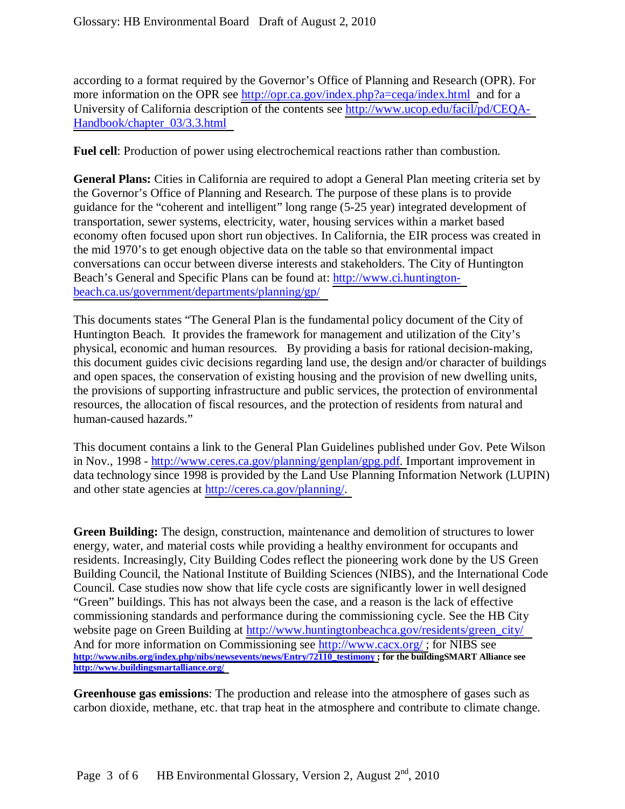according to a format required by the Governor's Office of Planning and Research (OPR). For more information on the OPR see [http://opr.ca.gov/index.php?a=ceqa/index.html a](http://opr.ca.gov/index.php?a=ceqa/index.html)nd for a University of California description of the contents see [http://www.ucop.edu/facil/pd/CEQA-](http://www.ucop.edu/facil/pd/CEQA-Handbook/chapter_03/3.3.html)[Handbook/chapter\\_03/3.3.html](http://www.ucop.edu/facil/pd/CEQA-Handbook/chapter_03/3.3.html) 

**Fuel cell**: Production of power using electrochemical reactions rather than combustion.

**General Plans:** Cities in California are required to adopt a General Plan meeting criteria set by the Governor's Office of Planning and Research. The purpose of these plans is to provide guidance for the "coherent and intelligent" long range (5-25 year) integrated development of transportation, sewer systems, electricity, water, housing services within a market based economy often focused upon short run objectives. In California, the EIR process was created in the mid 1970's to get enough objective data on the table so that environmental impact conversations can occur between diverse interests and stakeholders. The City of Huntington Beach's General and Specific Plans can be found at: [http://www.ci.huntington](http://www.ci.huntington-beach.ca.us/government/departments/planning/gp/)[beach.ca.us/government/departments/planning/gp/](http://www.ci.huntington-beach.ca.us/government/departments/planning/gp/) 

This documents states "The General Plan is the fundamental policy document of the City of Huntington Beach. It provides the framework for management and utilization of the City's physical, economic and human resources. By providing a basis for rational decision-making, this document guides civic decisions regarding land use, the design and/or character of buildings and open spaces, the conservation of existing housing and the provision of new dwelling units, the provisions of supporting infrastructure and public services, the protection of environmental resources, the allocation of fiscal resources, and the protection of residents from natural and human-caused hazards."

This document contains a link to the General Plan Guidelines published under Gov. Pete Wilson in Nov., 1998 - [http://www.ceres.ca.gov/planning/genplan/gpg.pdf. I](http://www.ceres.ca.gov/planning/genplan/gpg.pdf)mportant improvement in data technology since 1998 is provided by the Land Use Planning Information Network (LUPIN) and other state agencies at [http://ceres.ca.gov/planning/.](http://ceres.ca.gov/planning/) 

**Green Building:** The design, construction, maintenance and demolition of structures to lower energy, water, and material costs while providing a healthy environment for occupants and residents. Increasingly, City Building Codes reflect the pioneering work done by the US Green Building Council, the National Institute of Building Sciences (NIBS), and the International Code Council. Case studies now show that life cycle costs are significantly lower in well designed "Green" buildings. This has not always been the case, and a reason is the lack of effective commissioning standards and performance during the commissioning cycle. See the HB City website page on Green Building at http://www.huntingtonbeachca.gov/residents/green\_city/ And for more information on Commissioning see http://www.cacx.org/; for NIBS see **[http://www.nibs.org/index.php/nibs/newsevents/news/Entry/72110\\_testimony ;](http://www.nibs.org/index.php/nibs/newsevents/news/Entry/72110_testimony) for the buildingSMART Alliance see <http://www.buildingsmartalliance.org/>**

**Greenhouse gas emissions**: The production and release into the atmosphere of gases such as carbon dioxide, methane, etc. that trap heat in the atmosphere and contribute to climate change.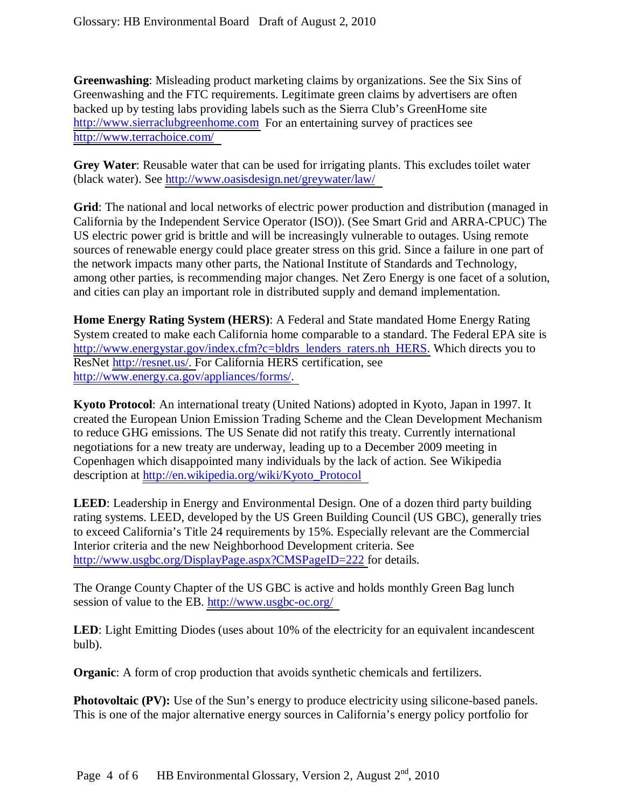**Greenwashing**: Misleading product marketing claims by organizations. See the Six Sins of Greenwashing and the FTC requirements. Legitimate green claims by advertisers are often backed up by testing labs providing labels such as the Sierra Club's GreenHome site [http://www.sierraclubgreenhome.com](http://www.sierraclubgreenhome.com/) For an entertaining survey of practices see <http://www.terrachoice.com/>

**Grey Water**: Reusable water that can be used for irrigating plants. This excludes toilet water (black water). See<http://www.oasisdesign.net/greywater/law/>

**Grid**: The national and local networks of electric power production and distribution (managed in California by the Independent Service Operator (ISO)). (See Smart Grid and ARRA-CPUC) The US electric power grid is brittle and will be increasingly vulnerable to outages. Using remote sources of renewable energy could place greater stress on this grid. Since a failure in one part of the network impacts many other parts, the National Institute of Standards and Technology, among other parties, is recommending major changes. Net Zero Energy is one facet of a solution, and cities can play an important role in distributed supply and demand implementation.

**Home Energy Rating System (HERS)**: A Federal and State mandated Home Energy Rating System created to make each California home comparable to a standard. The Federal EPA site is [http://www.energystar.gov/index.cfm?c=bldrs\\_lenders\\_raters.nh\\_HERS.](http://www.energystar.gov/index.cfm?c=bldrs_lenders_raters.nh_HERS) Which directs you to ResNet [http://resnet.us/. F](http://resnet.us/)or California HERS certification, see [http://www.energy.ca.gov/appliances/forms/.](http://www.energy.ca.gov/appliances/forms/) 

**Kyoto Protocol**: An international treaty (United Nations) adopted in Kyoto, Japan in 1997. It created the European Union Emission Trading Scheme and the Clean Development Mechanism to reduce GHG emissions. The US Senate did not ratify this treaty. Currently international negotiations for a new treaty are underway, leading up to a December 2009 meeting in Copenhagen which disappointed many individuals by the lack of action. See Wikipedia description at [http://en.wikipedia.org/wiki/Kyoto\\_Protocol](http://en.wikipedia.org/wiki/Kyoto_Protocol) 

**LEED**: Leadership in Energy and Environmental Design. One of a dozen third party building rating systems. LEED, developed by the US Green Building Council (US GBC), generally tries to exceed California's Title 24 requirements by 15%. Especially relevant are the Commercial Interior criteria and the new Neighborhood Development criteria. See [http://www.usgbc.org/DisplayPage.aspx?CMSPageID=222 f](http://www.usgbc.org/DisplayPage.aspx?CMSPageID=222)or details.

The Orange County Chapter of the US GBC is active and holds monthly Green Bag lunch session of value to the EB. http://www.usgbc-oc.org/

**LED**: Light Emitting Diodes (uses about 10% of the electricity for an equivalent incandescent bulb).

**Organic**: A form of crop production that avoids synthetic chemicals and fertilizers.

**Photovoltaic (PV):** Use of the Sun's energy to produce electricity using silicone-based panels. This is one of the major alternative energy sources in California's energy policy portfolio for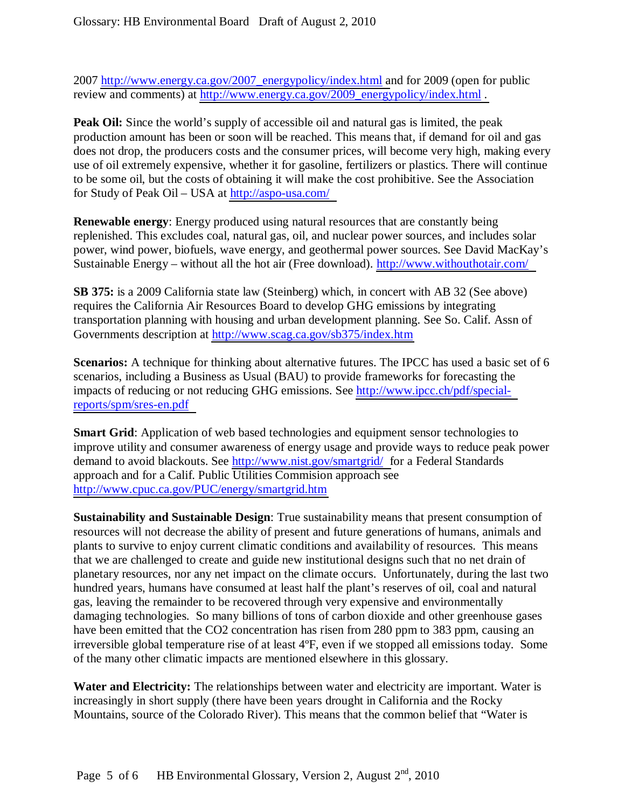2007 [http://www.energy.ca.gov/2007\\_energypolicy/index.html a](http://www.energy.ca.gov/2007_energypolicy/index.html)nd for 2009 (open for public review and comments) at http://www.energy.ca.gov/2009\_energypolicy/index.html .

**Peak Oil:** Since the world's supply of accessible oil and natural gas is limited, the peak production amount has been or soon will be reached. This means that, if demand for oil and gas does not drop, the producers costs and the consumer prices, will become very high, making every use of oil extremely expensive, whether it for gasoline, fertilizers or plastics. There will continue to be some oil, but the costs of obtaining it will make the cost prohibitive. See the Association for Study of Peak Oil – USA at<http://aspo-usa.com/>

**Renewable energy**: Energy produced using natural resources that are constantly being replenished. This excludes coal, natural gas, oil, and nuclear power sources, and includes solar power, wind power, biofuels, wave energy, and geothermal power sources. See David MacKay's Sustainable Energy – without all the hot air (Free download). http://www.withouthotair.com/

**SB 375:** is a 2009 California state law (Steinberg) which, in concert with AB 32 (See above) requires the California Air Resources Board to develop GHG emissions by integrating transportation planning with housing and urban development planning. See So. Calif. Assn of Governments description at<http://www.scag.ca.gov/sb375/index.htm>

**Scenarios:** A technique for thinking about alternative futures. The IPCC has used a basic set of 6 scenarios, including a Business as Usual (BAU) to provide frameworks for forecasting the impacts of reducing or not reducing GHG emissions. See [http://www.ipcc.ch/pdf/special](http://www.ipcc.ch/pdf/special-reports/spm/sres-en.pdf)[reports/spm/sres-en.pdf](http://www.ipcc.ch/pdf/special-reports/spm/sres-en.pdf) 

**Smart Grid**: Application of web based technologies and equipment sensor technologies to improve utility and consumer awareness of energy usage and provide ways to reduce peak power demand to avoid blackouts. See [http://www.nist.gov/smartgrid/ f](http://www.nist.gov/smartgrid/)or a Federal Standards approach and for a Calif. Public Utilities Commision approach see <http://www.cpuc.ca.gov/PUC/energy/smartgrid.htm>

**Sustainability and Sustainable Design**: True sustainability means that present consumption of resources will not decrease the ability of present and future generations of humans, animals and plants to survive to enjoy current climatic conditions and availability of resources. This means that we are challenged to create and guide new institutional designs such that no net drain of planetary resources, nor any net impact on the climate occurs. Unfortunately, during the last two hundred years, humans have consumed at least half the plant's reserves of oil, coal and natural gas, leaving the remainder to be recovered through very expensive and environmentally damaging technologies. So many billions of tons of carbon dioxide and other greenhouse gases have been emitted that the CO2 concentration has risen from 280 ppm to 383 ppm, causing an irreversible global temperature rise of at least 4ºF, even if we stopped all emissions today. Some of the many other climatic impacts are mentioned elsewhere in this glossary.

**Water and Electricity:** The relationships between water and electricity are important. Water is increasingly in short supply (there have been years drought in California and the Rocky Mountains, source of the Colorado River). This means that the common belief that "Water is